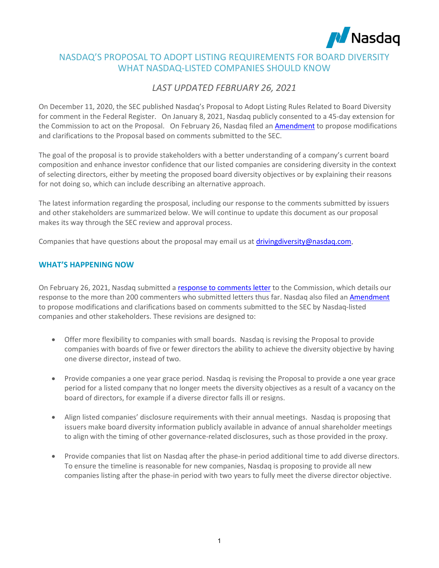

# NASDAQ'S PROPOSAL TO ADOPT LISTING REQUIREMENTS FOR BOARD DIVERSITY WHAT NASDAQ-LISTED COMPANIES SHOULD KNOW

# *LAST UPDATED FEBRUARY 26, 2021*

On December 11, 2020, the SEC published Nasdaq's Proposal to Adopt Listing Rules Related to Board Diversity for comment in the Federal Register. On January 8, 2021, Nasdaq publicly consented to a 45-day extension for the Commission to act on the Proposal. On February 26, Nasdaq filed an [Amendment](https://listingcenter.nasdaq.com/assets/RuleBook/Nasdaq/filings/SR-NASDAQ-2020-081_Amendment_1.pdf) to propose modifications and clarifications to the Proposal based on comments submitted to the SEC.

The goal of the proposal is to provide stakeholders with a better understanding of a company's current board composition and enhance investor confidence that our listed companies are considering diversity in the context of selecting directors, either by meeting the proposed board diversity objectives or by explaining their reasons for not doing so, which can include describing an alternative approach.

The latest information regarding the prosposal, including our response to the comments submitted by issuers and other stakeholders are summarized below. We will continue to update this document as our proposal makes its way through the SEC review and approval process.

Companies that have questions about the proposal may email us at [drivingdiversity@nasdaq.com.](mailto:drivingdiversity@nasdaq.com)

## **WHAT'S HAPPENING NOW**

On February 26, 2021, Nasdaq submitted a [response to comments letter](https://listingcenter.nasdaq.com/assets/Response%20to%20Comments%20Letter.pdf) to the Commission, which details our response to the more than 200 commenters who submitted letters thus far. Nasdaq also filed an [Amendment](https://listingcenter.nasdaq.com/assets/RuleBook/Nasdaq/filings/SR-NASDAQ-2020-081_Amendment_1.pdf)  to propose modifications and clarifications based on comments submitted to the SEC by Nasdaq-listed companies and other stakeholders. These revisions are designed to:

- Offer more flexibility to companies with small boards. Nasdaq is revising the Proposal to provide companies with boards of five or fewer directors the ability to achieve the diversity objective by having one diverse director, instead of two.
- Provide companies a one year grace period. Nasdaq is revising the Proposal to provide a one year grace period for a listed company that no longer meets the diversity objectives as a result of a vacancy on the board of directors, for example if a diverse director falls ill or resigns.
- Align listed companies' disclosure requirements with their annual meetings. Nasdaq is proposing that issuers make board diversity information publicly available in advance of annual shareholder meetings to align with the timing of other governance-related disclosures, such as those provided in the proxy.
- Provide companies that list on Nasdaq after the phase-in period additional time to add diverse directors. To ensure the timeline is reasonable for new companies, Nasdaq is proposing to provide all new companies listing after the phase-in period with two years to fully meet the diverse director objective.